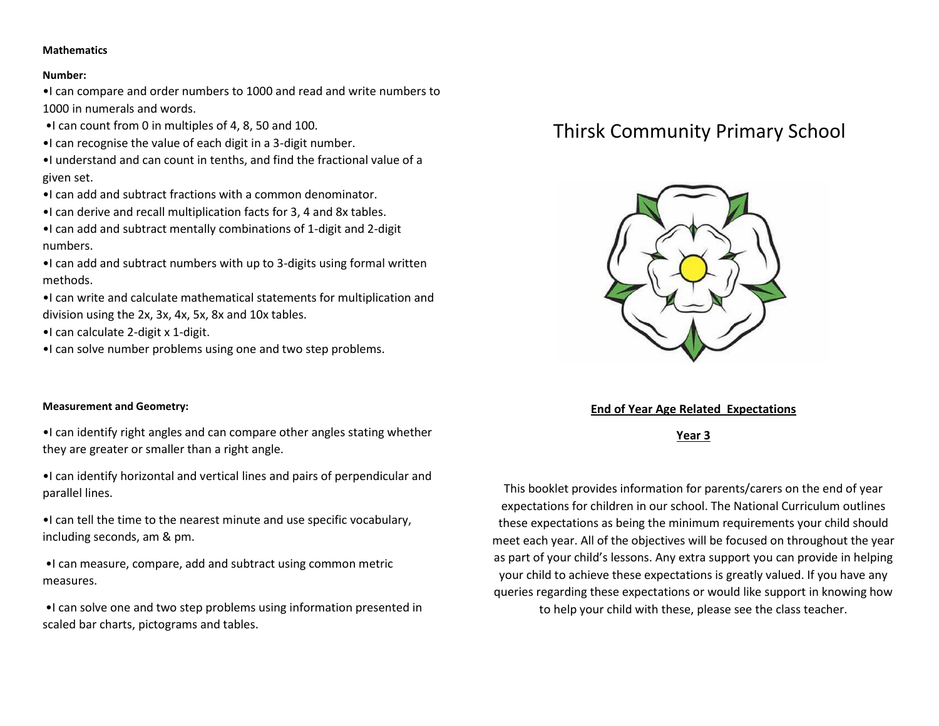### **Mathematics**

#### **Number:**

•I can compare and order numbers to 1000 and read and write numbers to 1000 in numerals and words.

- •I can count from 0 in multiples of 4, 8, 50 and 100.
- •I can recognise the value of each digit in a 3-digit number.

•I understand and can count in tenths, and find the fractional value of a given set.

- •I can add and subtract fractions with a common denominator.
- •I can derive and recall multiplication facts for 3, 4 and 8x tables.

•I can add and subtract mentally combinations of 1-digit and 2-digit numbers.

•I can add and subtract numbers with up to 3-digits using formal written methods.

•I can write and calculate mathematical statements for multiplication and division using the 2x, 3x, 4x, 5x, 8x and 10x tables.

•I can calculate 2-digit x 1-digit.

•I can solve number problems using one and two step problems.

### **Measurement and Geometry:**

•I can identify right angles and can compare other angles stating whether they are greater or smaller than a right angle.

•I can identify horizontal and vertical lines and pairs of perpendicular and parallel lines.

•I can tell the time to the nearest minute and use specific vocabulary, including seconds, am & pm.

•I can measure, compare, add and subtract using common metric measures.

•I can solve one and two step problems using information presented in scaled bar charts, pictograms and tables.

# Thirsk Community Primary School



## **End of Year Age Related Expectations**

**Year 3**

This booklet provides information for parents/carers on the end of year expectations for children in our school. The National Curriculum outlines these expectations as being the minimum requirements your child should meet each year. All of the objectives will be focused on throughout the year as part of your child's lessons. Any extra support you can provide in helping your child to achieve these expectations is greatly valued. If you have any queries regarding these expectations or would like support in knowing how to help your child with these, please see the class teacher.